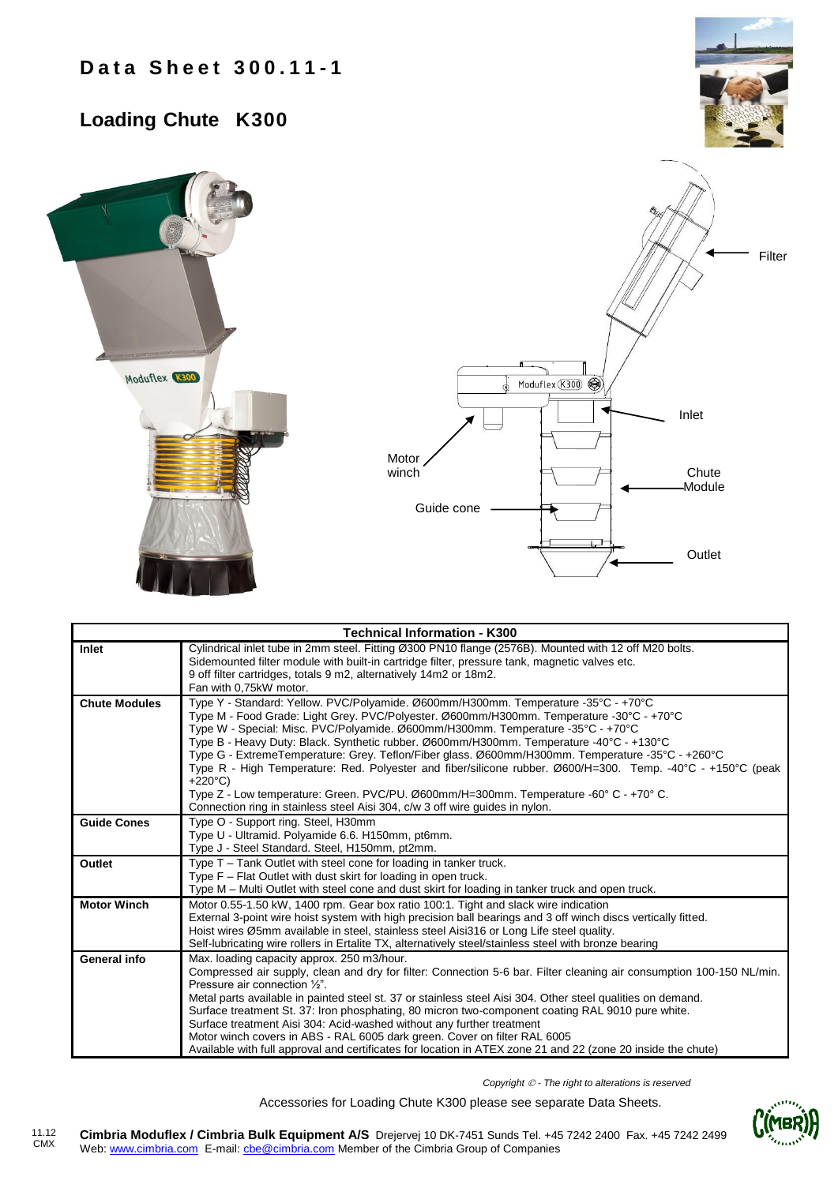## **Loading Chute K300**





|                      | <b>Technical Information - K300</b>                                                                                                                                                                                                                                                                                                                                                                                                                                                                                                                                                                                                                                                                                                                                           |
|----------------------|-------------------------------------------------------------------------------------------------------------------------------------------------------------------------------------------------------------------------------------------------------------------------------------------------------------------------------------------------------------------------------------------------------------------------------------------------------------------------------------------------------------------------------------------------------------------------------------------------------------------------------------------------------------------------------------------------------------------------------------------------------------------------------|
| Inlet                | Cylindrical inlet tube in 2mm steel. Fitting Ø300 PN10 flange (2576B). Mounted with 12 off M20 bolts.<br>Sidemounted filter module with built-in cartridge filter, pressure tank, magnetic valves etc.<br>9 off filter cartridges, totals 9 m2, alternatively 14m2 or 18m2.<br>Fan with 0.75kW motor.                                                                                                                                                                                                                                                                                                                                                                                                                                                                         |
| <b>Chute Modules</b> | Type Y - Standard: Yellow. PVC/Polyamide. Ø600mm/H300mm. Temperature -35°C - +70°C<br>Type M - Food Grade: Light Grey. PVC/Polyester. Ø600mm/H300mm. Temperature -30°C - +70°C<br>Type W - Special: Misc. PVC/Polyamide. Ø600mm/H300mm. Temperature -35°C - +70°C<br>Type B - Heavy Duty: Black. Synthetic rubber. Ø600mm/H300mm. Temperature -40°C - +130°C<br>Type G - ExtremeTemperature: Grey. Teflon/Fiber glass. Ø600mm/H300mm. Temperature -35°C - +260°C<br>Type R - High Temperature: Red. Polyester and fiber/silicone rubber. Ø600/H=300. Temp. -40°C - +150°C (peak<br>$+220^{\circ}$ C)<br>Type Z - Low temperature: Green. PVC/PU. Ø600mm/H=300mm. Temperature -60° C - +70° C.<br>Connection ring in stainless steel Aisi 304, c/w 3 off wire guides in nylon. |
| <b>Guide Cones</b>   | Type O - Support ring. Steel, H30mm<br>Type U - Ultramid. Polyamide 6.6. H150mm, pt6mm.<br>Type J - Steel Standard. Steel, H150mm, pt2mm.                                                                                                                                                                                                                                                                                                                                                                                                                                                                                                                                                                                                                                     |
| Outlet               | Type T – Tank Outlet with steel cone for loading in tanker truck.<br>Type F – Flat Outlet with dust skirt for loading in open truck.<br>Type M – Multi Outlet with steel cone and dust skirt for loading in tanker truck and open truck.                                                                                                                                                                                                                                                                                                                                                                                                                                                                                                                                      |
| <b>Motor Winch</b>   | Motor 0.55-1.50 kW, 1400 rpm. Gear box ratio 100:1. Tight and slack wire indication<br>External 3-point wire hoist system with high precision ball bearings and 3 off winch discs vertically fitted.<br>Hoist wires Ø5mm available in steel, stainless steel Aisi316 or Long Life steel quality.<br>Self-lubricating wire rollers in Ertalite TX, alternatively steel/stainless steel with bronze bearing                                                                                                                                                                                                                                                                                                                                                                     |
| General info         | Max. loading capacity approx. 250 m3/hour.<br>Compressed air supply, clean and dry for filter: Connection 5-6 bar. Filter cleaning air consumption 100-150 NL/min.<br>Pressure air connection 1/2".<br>Metal parts available in painted steel st. 37 or stainless steel Aisi 304. Other steel qualities on demand.<br>Surface treatment St. 37: Iron phosphating, 80 micron two-component coating RAL 9010 pure white.<br>Surface treatment Aisi 304: Acid-washed without any further treatment<br>Motor winch covers in ABS - RAL 6005 dark green. Cover on filter RAL 6005<br>Available with full approval and certificates for location in ATEX zone 21 and 22 (zone 20 inside the chute)                                                                                  |

*Copyright - The right to alterations is reserved*

Accessories for Loading Chute K300 please see separate Data Sheets.

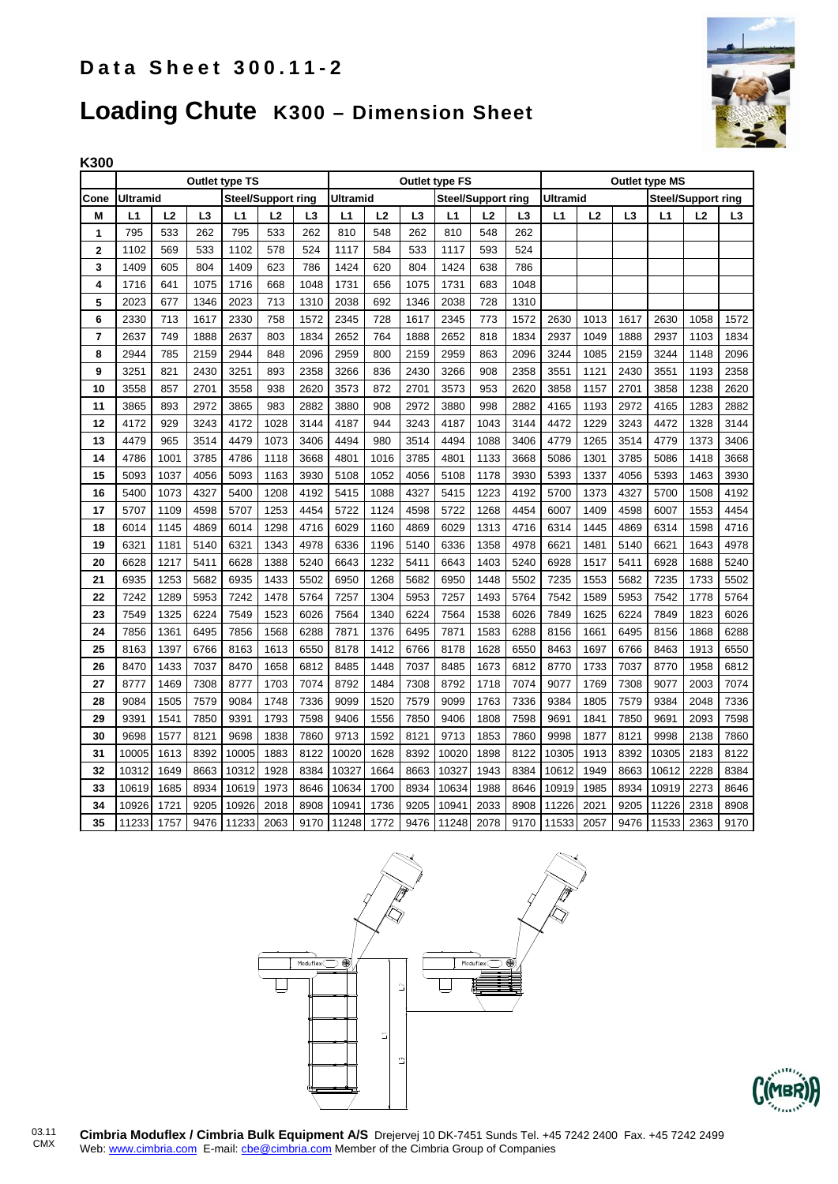

## **Loading Chute K300 – Dimension Sheet**

|                         | Outlet type TS                               |      |      |       |      |                                              | Outlet type FS |      |                |       |                                              | <b>Outlet type MS</b> |       |      |                |       |      |                |
|-------------------------|----------------------------------------------|------|------|-------|------|----------------------------------------------|----------------|------|----------------|-------|----------------------------------------------|-----------------------|-------|------|----------------|-------|------|----------------|
| Cone                    | <b>Ultramid</b><br><b>Steel/Support ring</b> |      |      |       |      | <b>Ultramid</b><br><b>Steel/Support ring</b> |                |      |                |       | <b>Ultramid</b><br><b>Steel/Support ring</b> |                       |       |      |                |       |      |                |
| М                       | L1                                           | L2   | L3   | L1    | L2   | L <sub>3</sub>                               | L1             | L2   | L <sub>3</sub> | L1    | L <sub>2</sub>                               | L3                    | L1    | L2   | L <sub>3</sub> | L1    | L2   | L <sub>3</sub> |
| 1                       | 795                                          | 533  | 262  | 795   | 533  | 262                                          | 810            | 548  | 262            | 810   | 548                                          | 262                   |       |      |                |       |      |                |
| $\overline{\mathbf{2}}$ | 1102                                         | 569  | 533  | 1102  | 578  | 524                                          | 1117           | 584  | 533            | 1117  | 593                                          | 524                   |       |      |                |       |      |                |
| 3                       | 1409                                         | 605  | 804  | 1409  | 623  | 786                                          | 1424           | 620  | 804            | 1424  | 638                                          | 786                   |       |      |                |       |      |                |
| 4                       | 1716                                         | 641  | 1075 | 1716  | 668  | 1048                                         | 1731           | 656  | 1075           | 1731  | 683                                          | 1048                  |       |      |                |       |      |                |
| 5                       | 2023                                         | 677  | 1346 | 2023  | 713  | 1310                                         | 2038           | 692  | 1346           | 2038  | 728                                          | 1310                  |       |      |                |       |      |                |
| 6                       | 2330                                         | 713  | 1617 | 2330  | 758  | 1572                                         | 2345           | 728  | 1617           | 2345  | 773                                          | 1572                  | 2630  | 1013 | 1617           | 2630  | 1058 | 1572           |
| 7                       | 2637                                         | 749  | 1888 | 2637  | 803  | 1834                                         | 2652           | 764  | 1888           | 2652  | 818                                          | 1834                  | 2937  | 1049 | 1888           | 2937  | 1103 | 1834           |
| 8                       | 2944                                         | 785  | 2159 | 2944  | 848  | 2096                                         | 2959           | 800  | 2159           | 2959  | 863                                          | 2096                  | 3244  | 1085 | 2159           | 3244  | 1148 | 2096           |
| 9                       | 3251                                         | 821  | 2430 | 3251  | 893  | 2358                                         | 3266           | 836  | 2430           | 3266  | 908                                          | 2358                  | 3551  | 1121 | 2430           | 3551  | 1193 | 2358           |
| 10                      | 3558                                         | 857  | 2701 | 3558  | 938  | 2620                                         | 3573           | 872  | 2701           | 3573  | 953                                          | 2620                  | 3858  | 1157 | 2701           | 3858  | 1238 | 2620           |
| 11                      | 3865                                         | 893  | 2972 | 3865  | 983  | 2882                                         | 3880           | 908  | 2972           | 3880  | 998                                          | 2882                  | 4165  | 1193 | 2972           | 4165  | 1283 | 2882           |
| 12                      | 4172                                         | 929  | 3243 | 4172  | 1028 | 3144                                         | 4187           | 944  | 3243           | 4187  | 1043                                         | 3144                  | 4472  | 1229 | 3243           | 4472  | 1328 | 3144           |
| 13                      | 4479                                         | 965  | 3514 | 4479  | 1073 | 3406                                         | 4494           | 980  | 3514           | 4494  | 1088                                         | 3406                  | 4779  | 1265 | 3514           | 4779  | 1373 | 3406           |
| 14                      | 4786                                         | 1001 | 3785 | 4786  | 1118 | 3668                                         | 4801           | 1016 | 3785           | 4801  | 1133                                         | 3668                  | 5086  | 1301 | 3785           | 5086  | 1418 | 3668           |
| 15                      | 5093                                         | 1037 | 4056 | 5093  | 1163 | 3930                                         | 5108           | 1052 | 4056           | 5108  | 1178                                         | 3930                  | 5393  | 1337 | 4056           | 5393  | 1463 | 3930           |
| 16                      | 5400                                         | 1073 | 4327 | 5400  | 1208 | 4192                                         | 5415           | 1088 | 4327           | 5415  | 1223                                         | 4192                  | 5700  | 1373 | 4327           | 5700  | 1508 | 4192           |
| 17                      | 5707                                         | 1109 | 4598 | 5707  | 1253 | 4454                                         | 5722           | 1124 | 4598           | 5722  | 1268                                         | 4454                  | 6007  | 1409 | 4598           | 6007  | 1553 | 4454           |
| 18                      | 6014                                         | 1145 | 4869 | 6014  | 1298 | 4716                                         | 6029           | 1160 | 4869           | 6029  | 1313                                         | 4716                  | 6314  | 1445 | 4869           | 6314  | 1598 | 4716           |
| 19                      | 6321                                         | 1181 | 5140 | 6321  | 1343 | 4978                                         | 6336           | 1196 | 5140           | 6336  | 1358                                         | 4978                  | 6621  | 1481 | 5140           | 6621  | 1643 | 4978           |
| 20                      | 6628                                         | 1217 | 5411 | 6628  | 1388 | 5240                                         | 6643           | 1232 | 5411           | 6643  | 1403                                         | 5240                  | 6928  | 1517 | 5411           | 6928  | 1688 | 5240           |
| 21                      | 6935                                         | 1253 | 5682 | 6935  | 1433 | 5502                                         | 6950           | 1268 | 5682           | 6950  | 1448                                         | 5502                  | 7235  | 1553 | 5682           | 7235  | 1733 | 5502           |
| 22                      | 7242                                         | 1289 | 5953 | 7242  | 1478 | 5764                                         | 7257           | 1304 | 5953           | 7257  | 1493                                         | 5764                  | 7542  | 1589 | 5953           | 7542  | 1778 | 5764           |
| 23                      | 7549                                         | 1325 | 6224 | 7549  | 1523 | 6026                                         | 7564           | 1340 | 6224           | 7564  | 1538                                         | 6026                  | 7849  | 1625 | 6224           | 7849  | 1823 | 6026           |
| 24                      | 7856                                         | 1361 | 6495 | 7856  | 1568 | 6288                                         | 7871           | 1376 | 6495           | 7871  | 1583                                         | 6288                  | 8156  | 1661 | 6495           | 8156  | 1868 | 6288           |
| 25                      | 8163                                         | 1397 | 6766 | 8163  | 1613 | 6550                                         | 8178           | 1412 | 6766           | 8178  | 1628                                         | 6550                  | 8463  | 1697 | 6766           | 8463  | 1913 | 6550           |
| 26                      | 8470                                         | 1433 | 7037 | 8470  | 1658 | 6812                                         | 8485           | 1448 | 7037           | 8485  | 1673                                         | 6812                  | 8770  | 1733 | 7037           | 8770  | 1958 | 6812           |
| 27                      | 8777                                         | 1469 | 7308 | 8777  | 1703 | 7074                                         | 8792           | 1484 | 7308           | 8792  | 1718                                         | 7074                  | 9077  | 1769 | 7308           | 9077  | 2003 | 7074           |
| 28                      | 9084                                         | 1505 | 7579 | 9084  | 1748 | 7336                                         | 9099           | 1520 | 7579           | 9099  | 1763                                         | 7336                  | 9384  | 1805 | 7579           | 9384  | 2048 | 7336           |
| 29                      | 9391                                         | 1541 | 7850 | 9391  | 1793 | 7598                                         | 9406           | 1556 | 7850           | 9406  | 1808                                         | 7598                  | 9691  | 1841 | 7850           | 9691  | 2093 | 7598           |
| 30                      | 9698                                         | 1577 | 8121 | 9698  | 1838 | 7860                                         | 9713           | 1592 | 8121           | 9713  | 1853                                         | 7860                  | 9998  | 1877 | 8121           | 9998  | 2138 | 7860           |
| 31                      | 10005                                        | 1613 | 8392 | 10005 | 1883 | 8122                                         | 10020          | 1628 | 8392           | 10020 | 1898                                         | 8122                  | 10305 | 1913 | 8392           | 10305 | 2183 | 8122           |
| 32                      | 10312                                        | 1649 | 8663 | 10312 | 1928 | 8384                                         | 10327          | 1664 | 8663           | 10327 | 1943                                         | 8384                  | 10612 | 1949 | 8663           | 10612 | 2228 | 8384           |
| 33                      | 10619                                        | 1685 | 8934 | 10619 | 1973 | 8646                                         | 10634          | 1700 | 8934           | 10634 | 1988                                         | 8646                  | 10919 | 1985 | 8934           | 10919 | 2273 | 8646           |
| 34                      | 10926                                        | 1721 | 9205 | 10926 | 2018 | 8908                                         | 10941          | 1736 | 9205           | 10941 | 2033                                         | 8908                  | 11226 | 2021 | 9205           | 11226 | 2318 | 8908           |
| 35                      | 11233                                        | 1757 | 9476 | 11233 | 2063 | 9170                                         | 11248          | 1772 | 9476           | 11248 | 2078                                         | 9170                  | 11533 | 2057 | 9476           | 11533 | 2363 | 9170           |